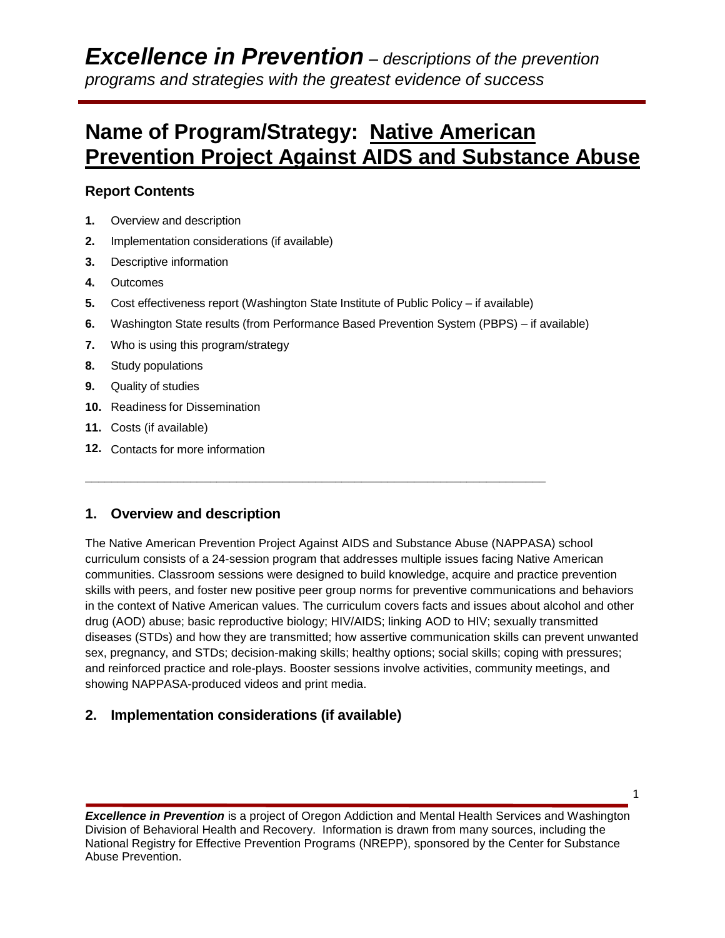# **Name of Program/Strategy: Native American Prevention Project Against AIDS and Substance Abuse**

## **Report Contents**

- **1.** Overview and description
- **2.** Implementation considerations (if available)
- **3.** Descriptive information
- **4.** Outcomes
- **5.** Cost effectiveness report (Washington State Institute of Public Policy if available)

**\_\_\_\_\_\_\_\_\_\_\_\_\_\_\_\_\_\_\_\_\_\_\_\_\_\_\_\_\_\_\_\_\_\_\_\_\_\_\_\_\_\_\_\_\_\_\_\_\_\_\_\_\_\_\_\_\_\_\_\_\_\_\_\_\_\_\_\_\_\_**

- **6.** Washington State results (from Performance Based Prevention System (PBPS) if available)
- **7.** Who is using this program/strategy
- **8.** Study populations
- **9.** Quality of studies
- **10.** Readiness for Dissemination
- **11.** Costs (if available)
- **12.** Contacts for more information

## **1. Overview and description**

The Native American Prevention Project Against AIDS and Substance Abuse (NAPPASA) school curriculum consists of a 24-session program that addresses multiple issues facing Native American communities. Classroom sessions were designed to build knowledge, acquire and practice prevention skills with peers, and foster new positive peer group norms for preventive communications and behaviors in the context of Native American values. The curriculum covers facts and issues about alcohol and other drug (AOD) abuse; basic reproductive biology; HIV/AIDS; linking AOD to HIV; sexually transmitted diseases (STDs) and how they are transmitted; how assertive communication skills can prevent unwanted sex, pregnancy, and STDs; decision-making skills; healthy options; social skills; coping with pressures; and reinforced practice and role-plays. Booster sessions involve activities, community meetings, and showing NAPPASA-produced videos and print media.

# **2. Implementation considerations (if available)**

*Excellence in Prevention* is a project of Oregon Addiction and Mental Health Services and Washington Division of Behavioral Health and Recovery. Information is drawn from many sources, including the National Registry for Effective Prevention Programs (NREPP), sponsored by the Center for Substance Abuse Prevention.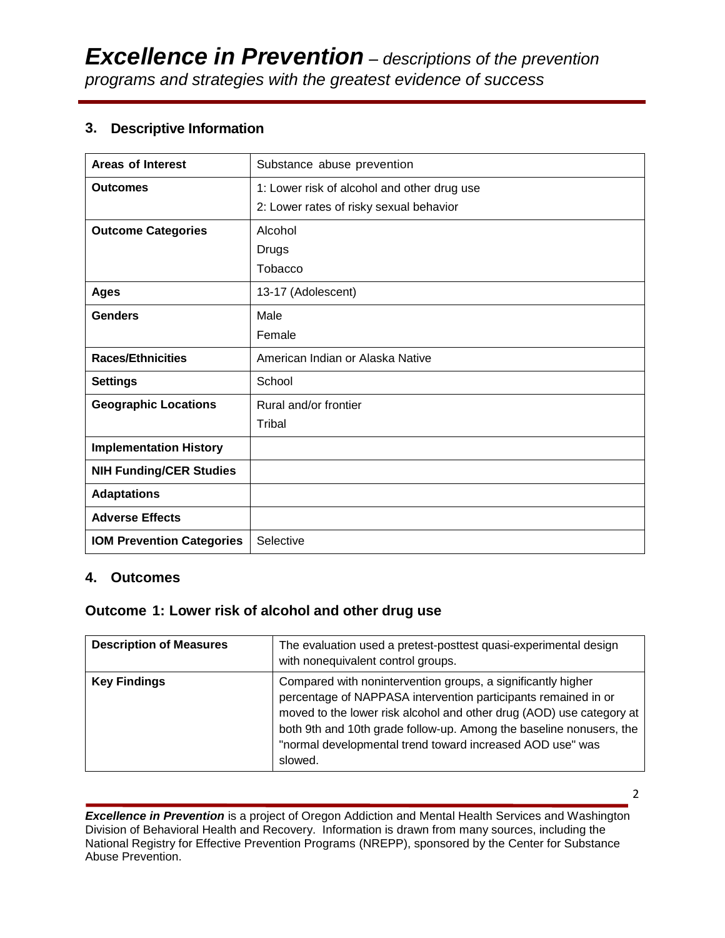## **3. Descriptive Information**

| <b>Areas of Interest</b>         | Substance abuse prevention                  |
|----------------------------------|---------------------------------------------|
| <b>Outcomes</b>                  | 1: Lower risk of alcohol and other drug use |
|                                  | 2: Lower rates of risky sexual behavior     |
| <b>Outcome Categories</b>        | Alcohol                                     |
|                                  | <b>Drugs</b>                                |
|                                  | Tobacco                                     |
| <b>Ages</b>                      | 13-17 (Adolescent)                          |
| <b>Genders</b>                   | Male                                        |
|                                  | Female                                      |
| <b>Races/Ethnicities</b>         | American Indian or Alaska Native            |
| <b>Settings</b>                  | School                                      |
| <b>Geographic Locations</b>      | Rural and/or frontier                       |
|                                  | Tribal                                      |
| <b>Implementation History</b>    |                                             |
| <b>NIH Funding/CER Studies</b>   |                                             |
| <b>Adaptations</b>               |                                             |
| <b>Adverse Effects</b>           |                                             |
| <b>IOM Prevention Categories</b> | Selective                                   |

## **4. Outcomes**

## **Outcome 1: Lower risk of alcohol and other drug use**

| <b>Description of Measures</b> | The evaluation used a pretest-posttest quasi-experimental design<br>with nonequivalent control groups.                                                                                                                                                                                                                                                |
|--------------------------------|-------------------------------------------------------------------------------------------------------------------------------------------------------------------------------------------------------------------------------------------------------------------------------------------------------------------------------------------------------|
| <b>Key Findings</b>            | Compared with nonintervention groups, a significantly higher<br>percentage of NAPPASA intervention participants remained in or<br>moved to the lower risk alcohol and other drug (AOD) use category at<br>both 9th and 10th grade follow-up. Among the baseline nonusers, the<br>"normal developmental trend toward increased AOD use" was<br>slowed. |

*Excellence in Prevention* is a project of Oregon Addiction and Mental Health Services and Washington Division of Behavioral Health and Recovery. Information is drawn from many sources, including the National Registry for Effective Prevention Programs (NREPP), sponsored by the Center for Substance Abuse Prevention.

2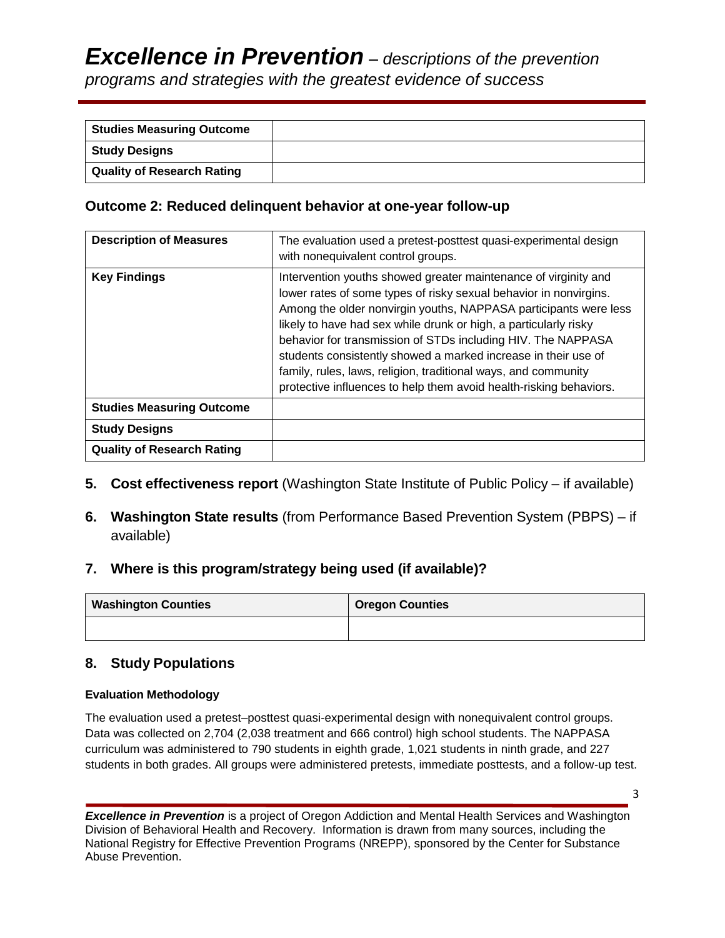| <b>Studies Measuring Outcome</b>  |  |
|-----------------------------------|--|
| <b>Study Designs</b>              |  |
| <b>Quality of Research Rating</b> |  |

## **Outcome 2: Reduced delinquent behavior at one-year follow-up**

| <b>Description of Measures</b>    | The evaluation used a pretest-posttest quasi-experimental design<br>with nonequivalent control groups.                                                                                                                                                                                                                                                                                                                                                                                                                                                 |
|-----------------------------------|--------------------------------------------------------------------------------------------------------------------------------------------------------------------------------------------------------------------------------------------------------------------------------------------------------------------------------------------------------------------------------------------------------------------------------------------------------------------------------------------------------------------------------------------------------|
| <b>Key Findings</b>               | Intervention youths showed greater maintenance of virginity and<br>lower rates of some types of risky sexual behavior in nonvirgins.<br>Among the older nonvirgin youths, NAPPASA participants were less<br>likely to have had sex while drunk or high, a particularly risky<br>behavior for transmission of STDs including HIV. The NAPPASA<br>students consistently showed a marked increase in their use of<br>family, rules, laws, religion, traditional ways, and community<br>protective influences to help them avoid health-risking behaviors. |
| <b>Studies Measuring Outcome</b>  |                                                                                                                                                                                                                                                                                                                                                                                                                                                                                                                                                        |
| <b>Study Designs</b>              |                                                                                                                                                                                                                                                                                                                                                                                                                                                                                                                                                        |
| <b>Quality of Research Rating</b> |                                                                                                                                                                                                                                                                                                                                                                                                                                                                                                                                                        |

- **5. Cost effectiveness report** (Washington State Institute of Public Policy if available)
- **6. Washington State results** (from Performance Based Prevention System (PBPS) if available)

## **7. Where is this program/strategy being used (if available)?**

| <b>Washington Counties</b> | <b>Oregon Counties</b> |
|----------------------------|------------------------|
|                            |                        |

## **8. Study Populations**

#### **Evaluation Methodology**

The evaluation used a pretest–posttest quasi-experimental design with nonequivalent control groups. Data was collected on 2,704 (2,038 treatment and 666 control) high school students. The NAPPASA curriculum was administered to 790 students in eighth grade, 1,021 students in ninth grade, and 227 students in both grades. All groups were administered pretests, immediate posttests, and a follow-up test.

*Excellence in Prevention* is a project of Oregon Addiction and Mental Health Services and Washington Division of Behavioral Health and Recovery. Information is drawn from many sources, including the National Registry for Effective Prevention Programs (NREPP), sponsored by the Center for Substance Abuse Prevention.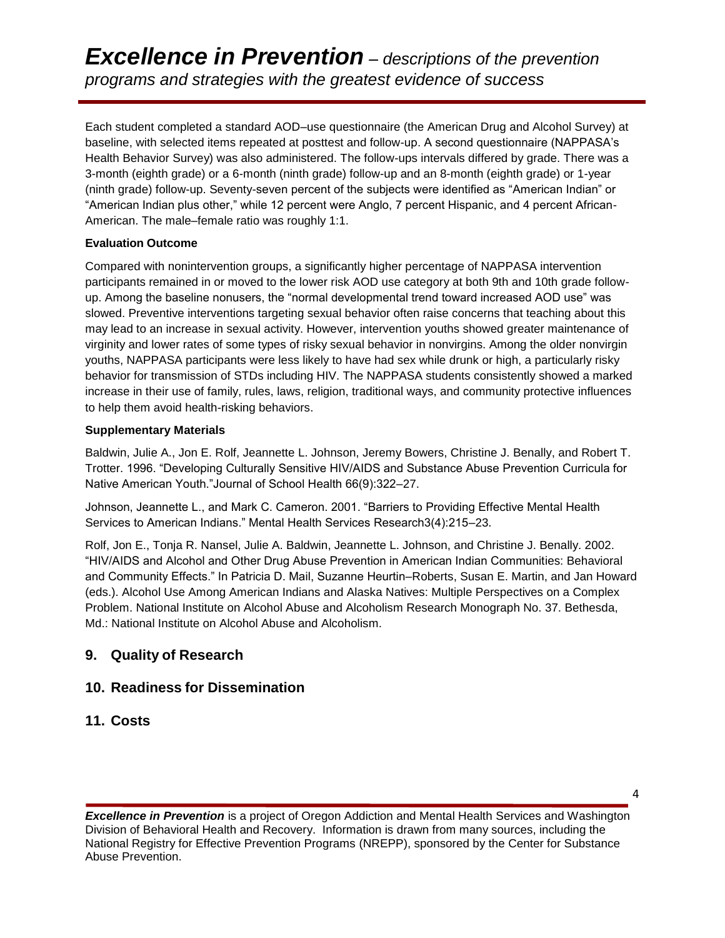Each student completed a standard AOD–use questionnaire (the American Drug and Alcohol Survey) at baseline, with selected items repeated at posttest and follow-up. A second questionnaire (NAPPASA's Health Behavior Survey) was also administered. The follow-ups intervals differed by grade. There was a 3-month (eighth grade) or a 6-month (ninth grade) follow-up and an 8-month (eighth grade) or 1-year (ninth grade) follow-up. Seventy-seven percent of the subjects were identified as "American Indian" or "American Indian plus other," while 12 percent were Anglo, 7 percent Hispanic, and 4 percent African-American. The male–female ratio was roughly 1:1.

#### **Evaluation Outcome**

Compared with nonintervention groups, a significantly higher percentage of NAPPASA intervention participants remained in or moved to the lower risk AOD use category at both 9th and 10th grade followup. Among the baseline nonusers, the "normal developmental trend toward increased AOD use" was slowed. Preventive interventions targeting sexual behavior often raise concerns that teaching about this may lead to an increase in sexual activity. However, intervention youths showed greater maintenance of virginity and lower rates of some types of risky sexual behavior in nonvirgins. Among the older nonvirgin youths, NAPPASA participants were less likely to have had sex while drunk or high, a particularly risky behavior for transmission of STDs including HIV. The NAPPASA students consistently showed a marked increase in their use of family, rules, laws, religion, traditional ways, and community protective influences to help them avoid health-risking behaviors.

#### **Supplementary Materials**

Baldwin, Julie A., Jon E. Rolf, Jeannette L. Johnson, Jeremy Bowers, Christine J. Benally, and Robert T. Trotter. 1996. "Developing Culturally Sensitive HIV/AIDS and Substance Abuse Prevention Curricula for Native American Youth."Journal of School Health 66(9):322–27.

Johnson, Jeannette L., and Mark C. Cameron. 2001. "Barriers to Providing Effective Mental Health Services to American Indians." Mental Health Services Research3(4):215–23.

Rolf, Jon E., Tonja R. Nansel, Julie A. Baldwin, Jeannette L. Johnson, and Christine J. Benally. 2002. "HIV/AIDS and Alcohol and Other Drug Abuse Prevention in American Indian Communities: Behavioral and Community Effects." In Patricia D. Mail, Suzanne Heurtin–Roberts, Susan E. Martin, and Jan Howard (eds.). Alcohol Use Among American Indians and Alaska Natives: Multiple Perspectives on a Complex Problem. National Institute on Alcohol Abuse and Alcoholism Research Monograph No. 37. Bethesda, Md.: National Institute on Alcohol Abuse and Alcoholism.

## **9. Quality of Research**

## **10. Readiness for Dissemination**

#### **11. Costs**

*Excellence in Prevention* is a project of Oregon Addiction and Mental Health Services and Washington Division of Behavioral Health and Recovery. Information is drawn from many sources, including the National Registry for Effective Prevention Programs (NREPP), sponsored by the Center for Substance Abuse Prevention.